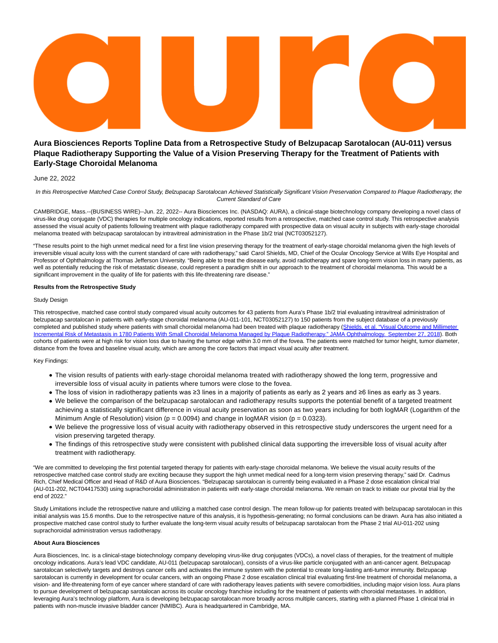# **Aura Biosciences Reports Topline Data from a Retrospective Study of Belzupacap Sarotalocan (AU-011) versus Plaque Radiotherapy Supporting the Value of a Vision Preserving Therapy for the Treatment of Patients with Early-Stage Choroidal Melanoma**

# June 22, 2022

In this Retrospective Matched Case Control Study, Belzupacap Sarotalocan Achieved Statistically Significant Vision Preservation Compared to Plaque Radiotherapy, the Current Standard of Care

CAMBRIDGE, Mass.--(BUSINESS WIRE)--Jun. 22, 2022-- Aura Biosciences Inc. (NASDAQ: AURA), a clinical-stage biotechnology company developing a novel class of virus-like drug conjugate (VDC) therapies for multiple oncology indications, reported results from a retrospective, matched case control study. This retrospective analysis assessed the visual acuity of patients following treatment with plaque radiotherapy compared with prospective data on visual acuity in subjects with early-stage choroidal melanoma treated with belzupacap sarotalocan by intravitreal administration in the Phase 1b/2 trial (NCT03052127).

"These results point to the high unmet medical need for a first line vision preserving therapy for the treatment of early-stage choroidal melanoma given the high levels of irreversible visual acuity loss with the current standard of care with radiotherapy," said Carol Shields, MD, Chief of the Ocular Oncology Service at Wills Eye Hospital and Professor of Ophthalmology at Thomas Jefferson University. "Being able to treat the disease early, avoid radiotherapy and spare long-term vision loss in many patients, as well as potentially reducing the risk of metastatic disease, could represent a paradigm shift in our approach to the treatment of choroidal melanoma. This would be a significant improvement in the quality of life for patients with this life-threatening rare disease."

## **Results from the Retrospective Study**

## Study Design

This retrospective, matched case control study compared visual acuity outcomes for 43 patients from Aura's Phase 1b/2 trial evaluating intravitreal administration of belzupacap sarotalocan in patients with early-stage choroidal melanoma (AU-011-101, NCT03052127) to 150 patients from the subject database of a previously completed and published study where patients with small choroidal melanoma had been treated with plaque radiotherapy [\(Shields, et al. "Visual Outcome and Millimeter](https://cts.businesswire.com/ct/CT?id=smartlink&url=https%3A%2F%2Fjamanetwork.com%2Fjournals%2Fjamaophthalmology%2Ffullarticle%2F2704059&esheet=52759130&newsitemid=20220622005949&lan=en-US&anchor=Shields%2C+et+al.+%26%238220%3BVisual+Outcome+and+Millimeter+Incremental+Risk+of+Metastasis+in+1780+Patients+With+Small+Choroidal+Melanoma+Managed+by+Plaque+Radiotherapy.%26%238221%3B+JAMA+Ophthalmology.+September+27%2C+2018&index=1&md5=ae5724735c9b40d89de0401355ba7a2e) Incremental Risk of Metastasis in 1780 Patients With Small Choroidal Melanoma Managed by Plaque Radiotherapy." JAMA Ophthalmology. September 27, 2018). Both cohorts of patients were at high risk for vision loss due to having the tumor edge within 3.0 mm of the fovea. The patients were matched for tumor height, tumor diameter, distance from the fovea and baseline visual acuity, which are among the core factors that impact visual acuity after treatment.

# Key Findings:

- The vision results of patients with early-stage choroidal melanoma treated with radiotherapy showed the long term, progressive and irreversible loss of visual acuity in patients where tumors were close to the fovea.
- The loss of vision in radiotherapy patients was ≥3 lines in a majority of patients as early as 2 years and ≥6 lines as early as 3 years.
- We believe the comparison of the belzupacap sarotalocan and radiotherapy results supports the potential benefit of a targeted treatment achieving a statistically significant difference in visual acuity preservation as soon as two years including for both logMAR (Logarithm of the Minimum Angle of Resolution) vision ( $p = 0.0094$ ) and change in logMAR vision ( $p = 0.0323$ ).
- We believe the progressive loss of visual acuity with radiotherapy observed in this retrospective study underscores the urgent need for a vision preserving targeted therapy.
- The findings of this retrospective study were consistent with published clinical data supporting the irreversible loss of visual acuity after treatment with radiotherapy.

"We are committed to developing the first potential targeted therapy for patients with early-stage choroidal melanoma. We believe the visual acuity results of the retrospective matched case control study are exciting because they support the high unmet medical need for a long-term vision preserving therapy," said Dr. Cadmus Rich, Chief Medical Officer and Head of R&D of Aura Biosciences. "Belzupacap sarotalocan is currently being evaluated in a Phase 2 dose escalation clinical trial (AU-011-202, NCT04417530) using suprachoroidal administration in patients with early-stage choroidal melanoma. We remain on track to initiate our pivotal trial by the end of 2022."

Study Limitations include the retrospective nature and utilizing a matched case control design. The mean follow-up for patients treated with belzupacap sarotalocan in this initial analysis was 15.6 months. Due to the retrospective nature of this analysis, it is hypothesis-generating; no formal conclusions can be drawn. Aura has also initiated a prospective matched case control study to further evaluate the long-term visual acuity results of belzupacap sarotalocan from the Phase 2 trial AU-011-202 using suprachoroidal administration versus radiotherapy.

### **About Aura Biosciences**

Aura Biosciences, Inc. is a clinical-stage biotechnology company developing virus-like drug conjugates (VDCs), a novel class of therapies, for the treatment of multiple oncology indications. Aura's lead VDC candidate, AU-011 (belzupacap sarotalocan), consists of a virus-like particle conjugated with an anti-cancer agent. Belzupacap sarotalocan selectively targets and destroys cancer cells and activates the immune system with the potential to create long-lasting anti-tumor immunity. Belzupacap sarotalocan is currently in development for ocular cancers, with an ongoing Phase 2 dose escalation clinical trial evaluating first-line treatment of choroidal melanoma, a vision- and life-threatening form of eye cancer where standard of care with radiotherapy leaves patients with severe comorbidities, including major vision loss. Aura plans to pursue development of belzupacap sarotalocan across its ocular oncology franchise including for the treatment of patients with choroidal metastases. In addition, leveraging Aura's technology platform, Aura is developing belzupacap sarotalocan more broadly across multiple cancers, starting with a planned Phase 1 clinical trial in patients with non-muscle invasive bladder cancer (NMIBC). Aura is headquartered in Cambridge, MA.